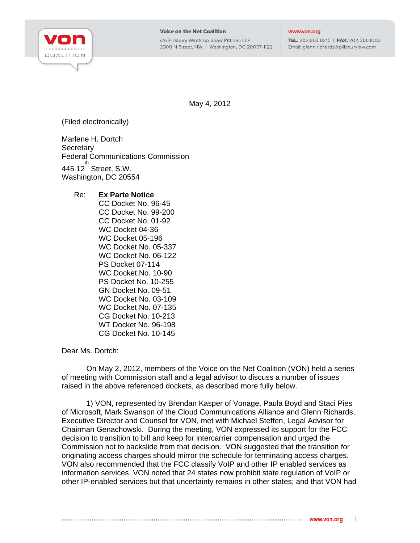

## **Voice on the Net Coalition**

c/o Pillsbury Winthrop Shaw Pittman LLP 2300 N Street, NW | Washington, DC 20037-1122

## www.von.org

TEL: 202.663.8215 | FAX: 202.513.8006 Email: glenn.richards@pillsburylaw.com

May 4, 2012

(Filed electronically)

Marlene H. Dortch **Secretary** Federal Communications Commission  $445$  12 $^{th}$  Street, S.W. Washington, DC 20554

## Re: **Ex Parte Notice**

CC Docket No. 96-45 CC Docket No. 99-200 CC Docket No. 01-92 WC Docket 04-36 WC Docket 05-196 WC Docket No. 05-337 WC Docket No. 06-122 PS Docket 07-114 WC Docket No. 10-90 PS Docket No. 10-255 GN Docket No. 09-51 WC Docket No. 03-109 WC Docket No. 07-135 CG Docket No. 10-213 WT Docket No. 96-198 CG Docket No. 10-145

Dear Ms. Dortch:

On May 2, 2012, members of the Voice on the Net Coalition (VON) held a series of meeting with Commission staff and a legal advisor to discuss a number of issues raised in the above referenced dockets, as described more fully below.

1) VON, represented by Brendan Kasper of Vonage, Paula Boyd and Staci Pies of Microsoft, Mark Swanson of the Cloud Communications Alliance and Glenn Richards, Executive Director and Counsel for VON, met with Michael Steffen, Legal Advisor for Chairman Genachowski. During the meeting, VON expressed its support for the FCC decision to transition to bill and keep for intercarrier compensation and urged the Commission not to backslide from that decision. VON suggested that the transition for originating access charges should mirror the schedule for terminating access charges. VON also recommended that the FCC classify VoIP and other IP enabled services as information services. VON noted that 24 states now prohibit state regulation of VoIP or other IP-enabled services but that uncertainty remains in other states; and that VON had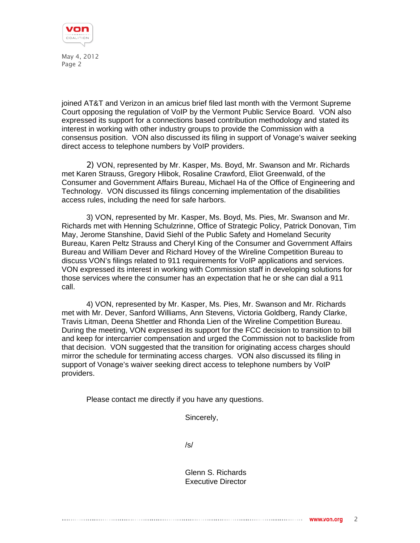

May 4, 2012 Page 2

joined AT&T and Verizon in an amicus brief filed last month with the Vermont Supreme Court opposing the regulation of VoIP by the Vermont Public Service Board. VON also expressed its support for a connections based contribution methodology and stated its interest in working with other industry groups to provide the Commission with a consensus position. VON also discussed its filing in support of Vonage's waiver seeking direct access to telephone numbers by VoIP providers.

2) VON, represented by Mr. Kasper, Ms. Boyd, Mr. Swanson and Mr. Richards met Karen Strauss, Gregory Hlibok, Rosaline Crawford, Eliot Greenwald, of the Consumer and Government Affairs Bureau, Michael Ha of the Office of Engineering and Technology. VON discussed its filings concerning implementation of the disabilities access rules, including the need for safe harbors.

3) VON, represented by Mr. Kasper, Ms. Boyd, Ms. Pies, Mr. Swanson and Mr. Richards met with Henning Schulzrinne, Office of Strategic Policy, Patrick Donovan, Tim May, Jerome Stanshine, David Siehl of the Public Safety and Homeland Security Bureau, Karen Peltz Strauss and Cheryl King of the Consumer and Government Affairs Bureau and William Dever and Richard Hovey of the Wireline Competition Bureau to discuss VON's filings related to 911 requirements for VoIP applications and services. VON expressed its interest in working with Commission staff in developing solutions for those services where the consumer has an expectation that he or she can dial a 911 call.

4) VON, represented by Mr. Kasper, Ms. Pies, Mr. Swanson and Mr. Richards met with Mr. Dever, Sanford Williams, Ann Stevens, Victoria Goldberg, Randy Clarke, Travis Litman, Deena Shettler and Rhonda Lien of the Wireline Competition Bureau. During the meeting, VON expressed its support for the FCC decision to transition to bill and keep for intercarrier compensation and urged the Commission not to backslide from that decision. VON suggested that the transition for originating access charges should mirror the schedule for terminating access charges. VON also discussed its filing in support of Vonage's waiver seeking direct access to telephone numbers by VoIP providers.

Please contact me directly if you have any questions.

Sincerely,

/s/

Glenn S. Richards Executive Director

## 2